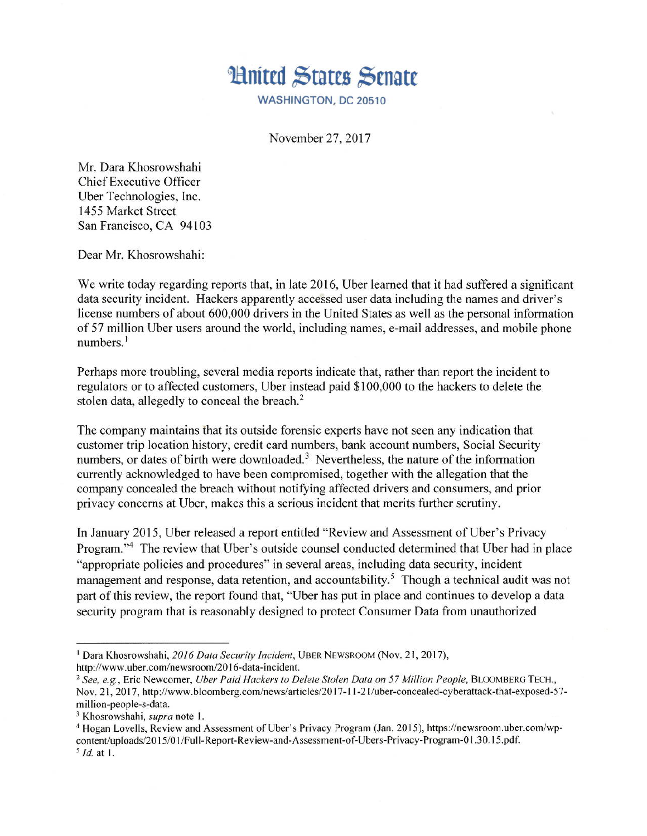

WASHINGTON, DC 20510

November 27, 2017

Mr. Dara Khosrowshahi **Chief Executive Officer** Uber Technologies, Inc. 1455 Market Street San Francisco, CA 94103

Dear Mr. Khosrowshahi:

We write today regarding reports that, in late 2016, Uber learned that it had suffered a significant data security incident. Hackers apparently accessed user data including the names and driver's license numbers of about 600,000 drivers in the United States as well as the personal information of 57 million Uber users around the world, including names, e-mail addresses, and mobile phone  $numbers.<sup>1</sup>$ 

Perhaps more troubling, several media reports indicate that, rather than report the incident to regulators or to affected customers, Uber instead paid \$100,000 to the hackers to delete the stolen data, allegedly to conceal the breach.<sup>2</sup>

The company maintains that its outside forensic experts have not seen any indication that customer trip location history, credit card numbers, bank account numbers, Social Security numbers, or dates of birth were downloaded.<sup>3</sup> Nevertheless, the nature of the information currently acknowledged to have been compromised, together with the allegation that the company concealed the breach without notifying affected drivers and consumers, and prior privacy concerns at Uber, makes this a serious incident that merits further scrutiny.

In January 2015, Uber released a report entitled "Review and Assessment of Uber's Privacy Program."<sup>4</sup> The review that Uber's outside counsel conducted determined that Uber had in place "appropriate policies and procedures" in several areas, including data security, incident management and response, data retention, and accountability.<sup>5</sup> Though a technical audit was not part of this review, the report found that, "Uber has put in place and continues to develop a data security program that is reasonably designed to protect Consumer Data from unauthorized

<sup>&</sup>lt;sup>1</sup> Dara Khosrowshahi, 2016 Data Security Incident, UBER NEWSROOM (Nov. 21, 2017), http://www.uber.com/newsroom/2016-data-incident.

<sup>&</sup>lt;sup>2</sup> See, e.g., Eric Newcomer, Uber Paid Hackers to Delete Stolen Data on 57 Million People, BLOOMBERG TECH., Nov. 21, 2017, http://www.bloomberg.com/news/articles/2017-11-21/uber-concealed-cyberattack-that-exposed-57million-people-s-data.

<sup>&</sup>lt;sup>3</sup> Khosrowshahi, *supra* note 1.

<sup>&</sup>lt;sup>4</sup> Hogan Lovells, Review and Assessment of Uber's Privacy Program (Jan. 2015), https://newsroom.uber.com/wpcontent/uploads/2015/01/Full-Report-Review-and-Assessment-of-Ubers-Privacy-Program-01.30.15.pdf.  $<sup>5</sup>$  *Id.* at 1.</sup>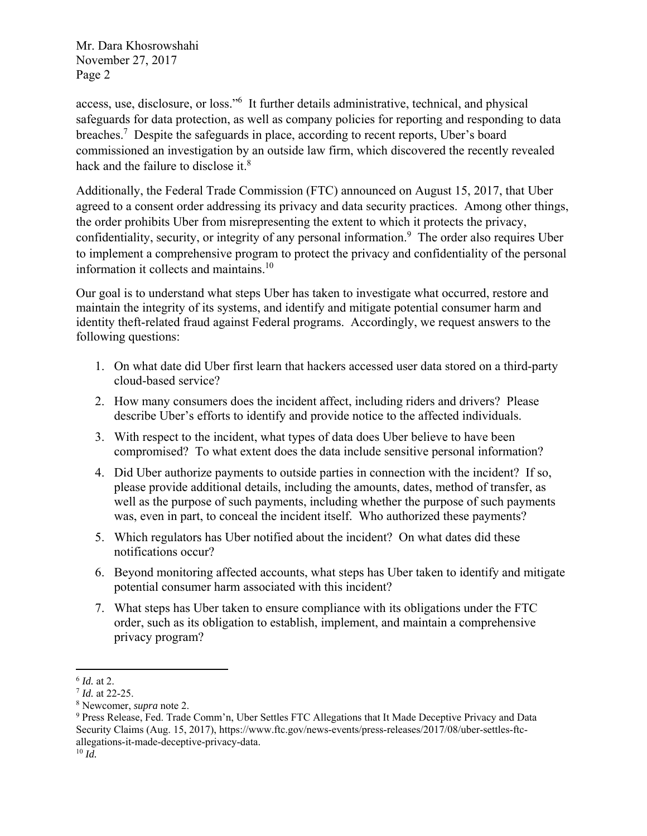Mr. Dara Khosrowshahi November 27, 2017 Page 2

access, use, disclosure, or loss."6 It further details administrative, technical, and physical safeguards for data protection, as well as company policies for reporting and responding to data breaches.<sup>7</sup> Despite the safeguards in place, according to recent reports, Uber's board commissioned an investigation by an outside law firm, which discovered the recently revealed hack and the failure to disclose it. $8$ 

Additionally, the Federal Trade Commission (FTC) announced on August 15, 2017, that Uber agreed to a consent order addressing its privacy and data security practices. Among other things, the order prohibits Uber from misrepresenting the extent to which it protects the privacy, confidentiality, security, or integrity of any personal information.<sup>9</sup> The order also requires Uber to implement a comprehensive program to protect the privacy and confidentiality of the personal information it collects and maintains.10

Our goal is to understand what steps Uber has taken to investigate what occurred, restore and maintain the integrity of its systems, and identify and mitigate potential consumer harm and identity theft-related fraud against Federal programs. Accordingly, we request answers to the following questions:

- 1. On what date did Uber first learn that hackers accessed user data stored on a third-party cloud-based service?
- 2. How many consumers does the incident affect, including riders and drivers? Please describe Uber's efforts to identify and provide notice to the affected individuals.
- 3. With respect to the incident, what types of data does Uber believe to have been compromised? To what extent does the data include sensitive personal information?
- 4. Did Uber authorize payments to outside parties in connection with the incident? If so, please provide additional details, including the amounts, dates, method of transfer, as well as the purpose of such payments, including whether the purpose of such payments was, even in part, to conceal the incident itself. Who authorized these payments?
- 5. Which regulators has Uber notified about the incident? On what dates did these notifications occur?
- 6. Beyond monitoring affected accounts, what steps has Uber taken to identify and mitigate potential consumer harm associated with this incident?
- 7. What steps has Uber taken to ensure compliance with its obligations under the FTC order, such as its obligation to establish, implement, and maintain a comprehensive privacy program?

 $^{6}$  *Id.* at 2.<br> $^{7}$  *Id.* at 22-25.

<sup>8</sup> Newcomer, *supra* note 2.

<sup>&</sup>lt;sup>9</sup> Press Release, Fed. Trade Comm'n, Uber Settles FTC Allegations that It Made Deceptive Privacy and Data Security Claims (Aug. 15, 2017), https://www.ftc.gov/news-events/press-releases/2017/08/uber-settles-ftcallegations-it-made-deceptive-privacy-data.